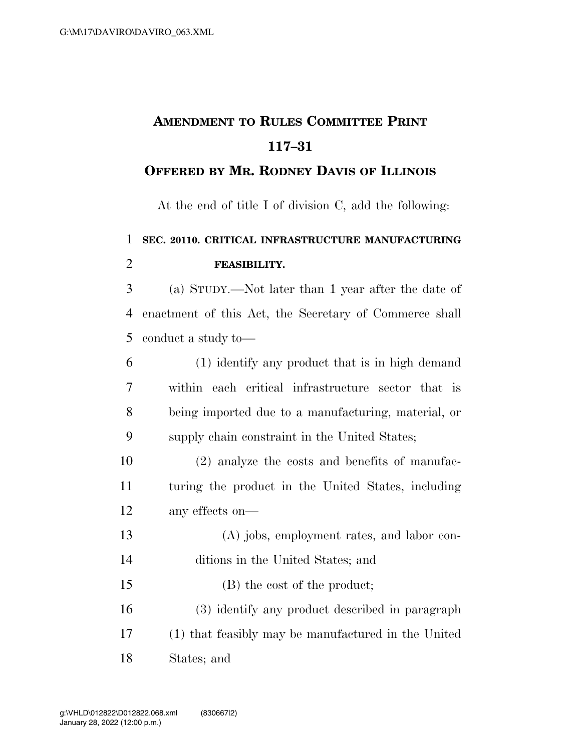## **AMENDMENT TO RULES COMMITTEE PRINT 117–31**

## **OFFERED BY MR. RODNEY DAVIS OF ILLINOIS**

At the end of title I of division C, add the following:

## **SEC. 20110. CRITICAL INFRASTRUCTURE MANUFACTURING FEASIBILITY.**

 (a) STUDY.—Not later than 1 year after the date of enactment of this Act, the Secretary of Commerce shall conduct a study to—

| -6              | (1) identify any product that is in high demand     |
|-----------------|-----------------------------------------------------|
| $7\overline{ }$ | within each critical infrastructure sector that is  |
| 8               | being imported due to a manufacturing, material, or |
| -9              | supply chain constraint in the United States;       |

 (2) analyze the costs and benefits of manufac- turing the product in the United States, including any effects on—

- (A) jobs, employment rates, and labor con- ditions in the United States; and (B) the cost of the product; (3) identify any product described in paragraph (1) that feasibly may be manufactured in the United
- States; and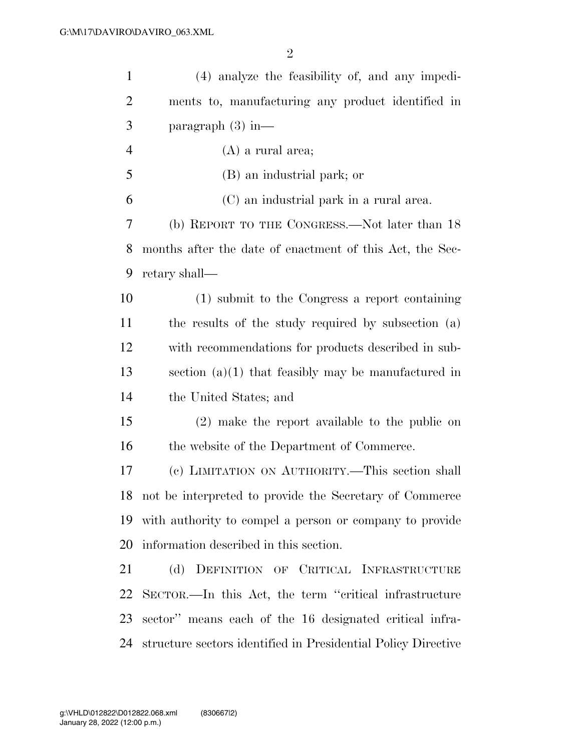| $\mathbf{1}$   | (4) analyze the feasibility of, and any impedi-               |
|----------------|---------------------------------------------------------------|
| $\overline{2}$ | ments to, manufacturing any product identified in             |
| 3              | paragraph $(3)$ in—                                           |
| $\overline{4}$ | $(A)$ a rural area;                                           |
| 5              | (B) an industrial park; or                                    |
| 6              | (C) an industrial park in a rural area.                       |
| 7              | (b) REPORT TO THE CONGRESS.—Not later than 18                 |
| 8              | months after the date of enactment of this Act, the Sec-      |
| 9              | retary shall—                                                 |
| 10             | (1) submit to the Congress a report containing                |
| 11             | the results of the study required by subsection (a)           |
| 12             | with recommendations for products described in sub-           |
| 13             | section $(a)(1)$ that feasibly may be manufactured in         |
| 14             | the United States; and                                        |
| 15             | (2) make the report available to the public on                |
| 16             | the website of the Department of Commerce.                    |
| 17             | (c) LIMITATION ON AUTHORITY.—This section shall               |
|                | 18 not be interpreted to provide the Secretary of Commerce    |
|                | 19 with authority to compel a person or company to provide    |
| 20             | information described in this section.                        |
| 21             | (d) DEFINITION OF CRITICAL INFRASTRUCTURE                     |
| 22             | SECTOR.—In this Act, the term "critical infrastructure"       |
| 23             | sector" means each of the 16 designated critical infra-       |
| 24             | structure sectors identified in Presidential Policy Directive |